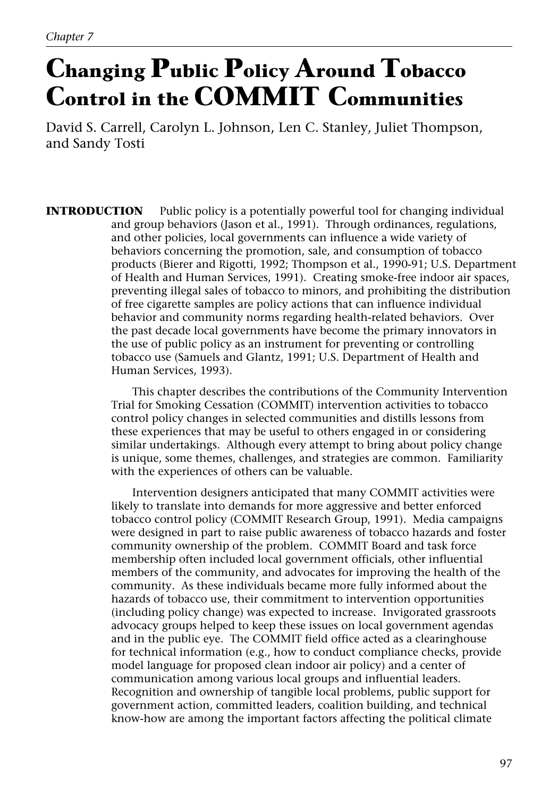# **Changing Public Policy Around Tobacco Control in the COMMIT Communities**

David S. Carrell, Carolyn L. Johnson, Len C. Stanley, Juliet Thompson, and Sandy Tosti

**INTRODUCTION** Public policy is a potentially powerful tool for changing individual and group behaviors (Jason et al., 1991). Through ordinances, regulations, and other policies, local governments can influence a wide variety of behaviors concerning the promotion, sale, and consumption of tobacco products (Bierer and Rigotti, 1992; Thompson et al., 1990-91; U.S. Department of Health and Human Services, 1991). Creating smoke-free indoor air spaces, preventing illegal sales of tobacco to minors, and prohibiting the distribution of free cigarette samples are policy actions that can influence individual behavior and community norms regarding health-related behaviors. Over the past decade local governments have become the primary innovators in the use of public policy as an instrument for preventing or controlling tobacco use (Samuels and Glantz, 1991; U.S. Department of Health and Human Services, 1993).

> This chapter describes the contributions of the Community Intervention Trial for Smoking Cessation (COMMIT) intervention activities to tobacco control policy changes in selected communities and distills lessons from these experiences that may be useful to others engaged in or considering similar undertakings. Although every attempt to bring about policy change is unique, some themes, challenges, and strategies are common. Familiarity with the experiences of others can be valuable.

> Intervention designers anticipated that many COMMIT activities were likely to translate into demands for more aggressive and better enforced tobacco control policy (COMMIT Research Group, 1991). Media campaigns were designed in part to raise public awareness of tobacco hazards and foster community ownership of the problem. COMMIT Board and task force membership often included local government officials, other influential members of the community, and advocates for improving the health of the community. As these individuals became more fully informed about the hazards of tobacco use, their commitment to intervention opportunities (including policy change) was expected to increase. Invigorated grassroots advocacy groups helped to keep these issues on local government agendas and in the public eye. The COMMIT field office acted as a clearinghouse for technical information (e.g., how to conduct compliance checks, provide model language for proposed clean indoor air policy) and a center of communication among various local groups and influential leaders. Recognition and ownership of tangible local problems, public support for government action, committed leaders, coalition building, and technical know-how are among the important factors affecting the political climate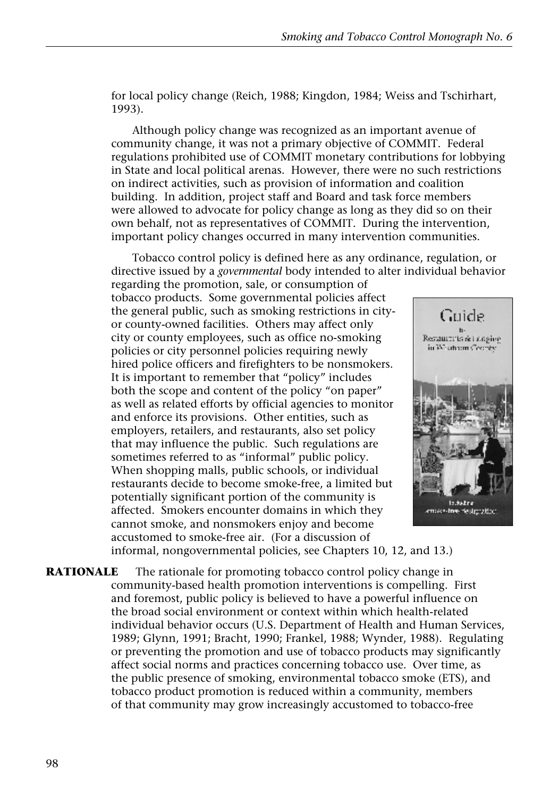for local policy change (Reich, 1988; Kingdon, 1984; Weiss and Tschirhart, 1993).

Although policy change was recognized as an important avenue of community change, it was not a primary objective of COMMIT. Federal regulations prohibited use of COMMIT monetary contributions for lobbying in State and local political arenas. However, there were no such restrictions on indirect activities, such as provision of information and coalition building. In addition, project staff and Board and task force members were allowed to advocate for policy change as long as they did so on their own behalf, not as representatives of COMMIT. During the intervention, important policy changes occurred in many intervention communities.

Tobacco control policy is defined here as any ordinance, regulation, or directive issued by a *governmental* body intended to alter individual behavior

regarding the promotion, sale, or consumption of tobacco products. Some governmental policies affect the general public, such as smoking restrictions in cityor county-owned facilities. Others may affect only city or county employees, such as office no-smoking policies or city personnel policies requiring newly hired police officers and firefighters to be nonsmokers. It is important to remember that "policy" includes both the scope and content of the policy "on paper" as well as related efforts by official agencies to monitor and enforce its provisions. Other entities, such as employers, retailers, and restaurants, also set policy that may influence the public. Such regulations are sometimes referred to as "informal" public policy. When shopping malls, public schools, or individual restaurants decide to become smoke-free, a limited but potentially significant portion of the community is affected. Smokers encounter domains in which they cannot smoke, and nonsmokers enjoy and become accustomed to smoke-free air. (For a discussion of



informal, nongovernmental policies, see Chapters 10, 12, and 13.)

**RATIONALE** The rationale for promoting tobacco control policy change in community-based health promotion interventions is compelling. First and foremost, public policy is believed to have a powerful influence on the broad social environment or context within which health-related individual behavior occurs (U.S. Department of Health and Human Services, 1989; Glynn, 1991; Bracht, 1990; Frankel, 1988; Wynder, 1988). Regulating or preventing the promotion and use of tobacco products may significantly affect social norms and practices concerning tobacco use. Over time, as the public presence of smoking, environmental tobacco smoke (ETS), and tobacco product promotion is reduced within a community, members of that community may grow increasingly accustomed to tobacco-free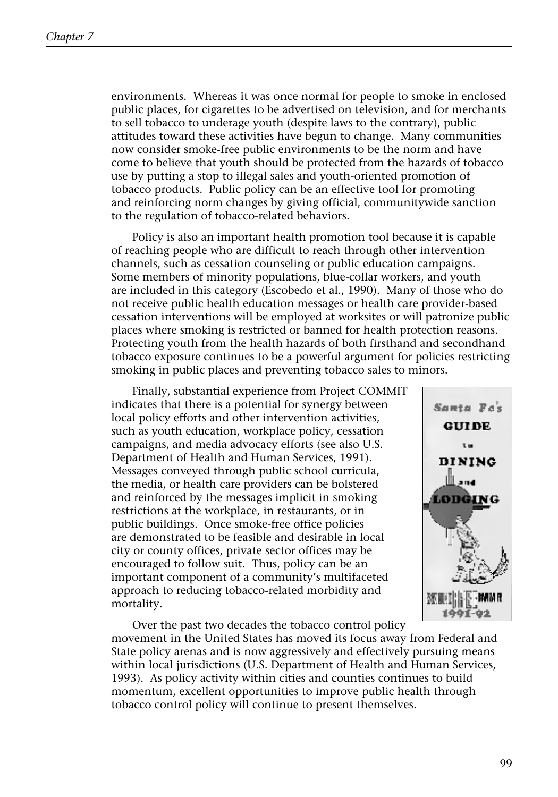environments. Whereas it was once normal for people to smoke in enclosed public places, for cigarettes to be advertised on television, and for merchants to sell tobacco to underage youth (despite laws to the contrary), public attitudes toward these activities have begun to change. Many communities now consider smoke-free public environments to be the norm and have come to believe that youth should be protected from the hazards of tobacco use by putting a stop to illegal sales and youth-oriented promotion of tobacco products. Public policy can be an effective tool for promoting and reinforcing norm changes by giving official, communitywide sanction to the regulation of tobacco-related behaviors.

Policy is also an important health promotion tool because it is capable of reaching people who are difficult to reach through other intervention channels, such as cessation counseling or public education campaigns. Some members of minority populations, blue-collar workers, and youth are included in this category (Escobedo et al., 1990). Many of those who do not receive public health education messages or health care provider-based cessation interventions will be employed at worksites or will patronize public places where smoking is restricted or banned for health protection reasons. Protecting youth from the health hazards of both firsthand and secondhand tobacco exposure continues to be a powerful argument for policies restricting smoking in public places and preventing tobacco sales to minors.

Finally, substantial experience from Project COMMIT indicates that there is a potential for synergy between local policy efforts and other intervention activities, such as youth education, workplace policy, cessation campaigns, and media advocacy efforts (see also U.S. Department of Health and Human Services, 1991). Messages conveyed through public school curricula, the media, or health care providers can be bolstered and reinforced by the messages implicit in smoking restrictions at the workplace, in restaurants, or in public buildings. Once smoke-free office policies are demonstrated to be feasible and desirable in local city or county offices, private sector offices may be encouraged to follow suit. Thus, policy can be an important component of a community's multifaceted approach to reducing tobacco-related morbidity and mortality.



Over the past two decades the tobacco control policy movement in the United States has moved its focus away from Federal and State policy arenas and is now aggressively and effectively pursuing means within local jurisdictions (U.S. Department of Health and Human Services, 1993). As policy activity within cities and counties continues to build momentum, excellent opportunities to improve public health through tobacco control policy will continue to present themselves.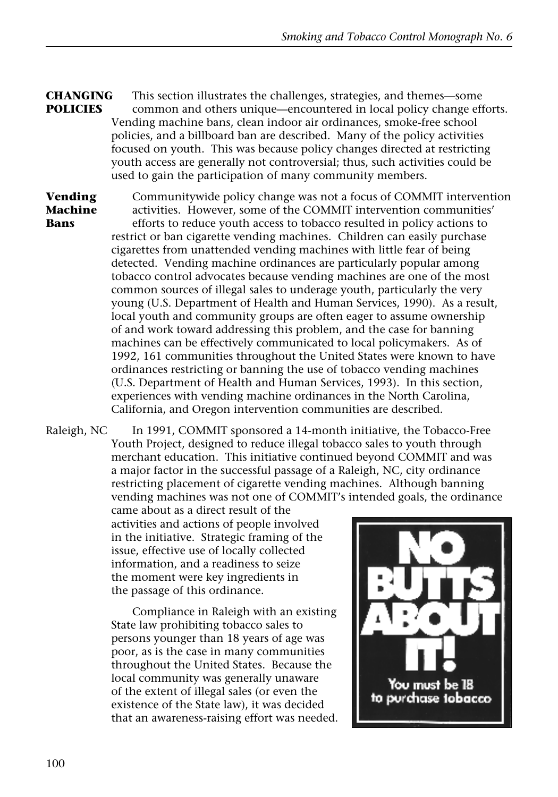**CHANGING** This section illustrates the challenges, strategies, and themes—some **POLICIES** common and others unique—encountered in local policy change efforts. Vending machine bans, clean indoor air ordinances, smoke-free school policies, and a billboard ban are described. Many of the policy activities focused on youth. This was because policy changes directed at restricting youth access are generally not controversial; thus, such activities could be used to gain the participation of many community members.

**Vending** Communitywide policy change was not a focus of COMMIT intervention **Machine** activities. However, some of the COMMIT intervention communities' **Bans** efforts to reduce youth access to tobacco resulted in policy actions to restrict or ban cigarette vending machines. Children can easily purchase cigarettes from unattended vending machines with little fear of being detected. Vending machine ordinances are particularly popular among tobacco control advocates because vending machines are one of the most common sources of illegal sales to underage youth, particularly the very young (U.S. Department of Health and Human Services, 1990). As a result, local youth and community groups are often eager to assume ownership of and work toward addressing this problem, and the case for banning machines can be effectively communicated to local policymakers. As of 1992, 161 communities throughout the United States were known to have ordinances restricting or banning the use of tobacco vending machines (U.S. Department of Health and Human Services, 1993). In this section, experiences with vending machine ordinances in the North Carolina, California, and Oregon intervention communities are described.

Raleigh, NC In 1991, COMMIT sponsored a 14-month initiative, the Tobacco-Free Youth Project, designed to reduce illegal tobacco sales to youth through merchant education. This initiative continued beyond COMMIT and was a major factor in the successful passage of a Raleigh, NC, city ordinance restricting placement of cigarette vending machines. Although banning vending machines was not one of COMMIT's intended goals, the ordinance

came about as a direct result of the activities and actions of people involved in the initiative. Strategic framing of the issue, effective use of locally collected information, and a readiness to seize the moment were key ingredients in the passage of this ordinance.

Compliance in Raleigh with an existing State law prohibiting tobacco sales to persons younger than 18 years of age was poor, as is the case in many communities throughout the United States. Because the local community was generally unaware of the extent of illegal sales (or even the existence of the State law), it was decided that an awareness-raising effort was needed.

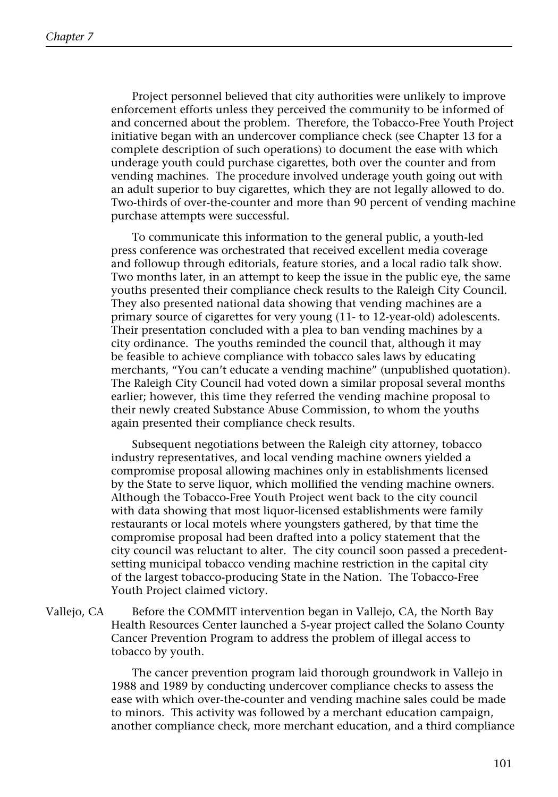Project personnel believed that city authorities were unlikely to improve enforcement efforts unless they perceived the community to be informed of and concerned about the problem. Therefore, the Tobacco-Free Youth Project initiative began with an undercover compliance check (see Chapter 13 for a complete description of such operations) to document the ease with which underage youth could purchase cigarettes, both over the counter and from vending machines. The procedure involved underage youth going out with an adult superior to buy cigarettes, which they are not legally allowed to do. Two-thirds of over-the-counter and more than 90 percent of vending machine purchase attempts were successful.

To communicate this information to the general public, a youth-led press conference was orchestrated that received excellent media coverage and followup through editorials, feature stories, and a local radio talk show. Two months later, in an attempt to keep the issue in the public eye, the same youths presented their compliance check results to the Raleigh City Council. They also presented national data showing that vending machines are a primary source of cigarettes for very young (11- to 12-year-old) adolescents. Their presentation concluded with a plea to ban vending machines by a city ordinance. The youths reminded the council that, although it may be feasible to achieve compliance with tobacco sales laws by educating merchants, "You can't educate a vending machine" (unpublished quotation). The Raleigh City Council had voted down a similar proposal several months earlier; however, this time they referred the vending machine proposal to their newly created Substance Abuse Commission, to whom the youths again presented their compliance check results.

Subsequent negotiations between the Raleigh city attorney, tobacco industry representatives, and local vending machine owners yielded a compromise proposal allowing machines only in establishments licensed by the State to serve liquor, which mollified the vending machine owners. Although the Tobacco-Free Youth Project went back to the city council with data showing that most liquor-licensed establishments were family restaurants or local motels where youngsters gathered, by that time the compromise proposal had been drafted into a policy statement that the city council was reluctant to alter. The city council soon passed a precedentsetting municipal tobacco vending machine restriction in the capital city of the largest tobacco-producing State in the Nation. The Tobacco-Free Youth Project claimed victory.

Vallejo, CA Before the COMMIT intervention began in Vallejo, CA, the North Bay Health Resources Center launched a 5-year project called the Solano County Cancer Prevention Program to address the problem of illegal access to tobacco by youth.

> The cancer prevention program laid thorough groundwork in Vallejo in 1988 and 1989 by conducting undercover compliance checks to assess the ease with which over-the-counter and vending machine sales could be made to minors. This activity was followed by a merchant education campaign, another compliance check, more merchant education, and a third compliance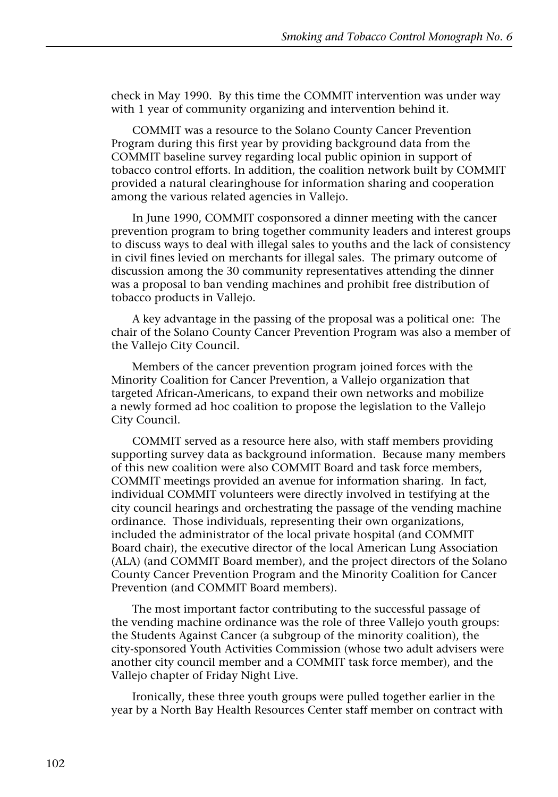check in May 1990. By this time the COMMIT intervention was under way with 1 year of community organizing and intervention behind it.

COMMIT was a resource to the Solano County Cancer Prevention Program during this first year by providing background data from the COMMIT baseline survey regarding local public opinion in support of tobacco control efforts. In addition, the coalition network built by COMMIT provided a natural clearinghouse for information sharing and cooperation among the various related agencies in Vallejo.

In June 1990, COMMIT cosponsored a dinner meeting with the cancer prevention program to bring together community leaders and interest groups to discuss ways to deal with illegal sales to youths and the lack of consistency in civil fines levied on merchants for illegal sales. The primary outcome of discussion among the 30 community representatives attending the dinner was a proposal to ban vending machines and prohibit free distribution of tobacco products in Vallejo.

A key advantage in the passing of the proposal was a political one: The chair of the Solano County Cancer Prevention Program was also a member of the Vallejo City Council.

Members of the cancer prevention program joined forces with the Minority Coalition for Cancer Prevention, a Vallejo organization that targeted African-Americans, to expand their own networks and mobilize a newly formed ad hoc coalition to propose the legislation to the Vallejo City Council.

COMMIT served as a resource here also, with staff members providing supporting survey data as background information. Because many members of this new coalition were also COMMIT Board and task force members, COMMIT meetings provided an avenue for information sharing. In fact, individual COMMIT volunteers were directly involved in testifying at the city council hearings and orchestrating the passage of the vending machine ordinance. Those individuals, representing their own organizations, included the administrator of the local private hospital (and COMMIT Board chair), the executive director of the local American Lung Association (ALA) (and COMMIT Board member), and the project directors of the Solano County Cancer Prevention Program and the Minority Coalition for Cancer Prevention (and COMMIT Board members).

The most important factor contributing to the successful passage of the vending machine ordinance was the role of three Vallejo youth groups: the Students Against Cancer (a subgroup of the minority coalition), the city-sponsored Youth Activities Commission (whose two adult advisers were another city council member and a COMMIT task force member), and the Vallejo chapter of Friday Night Live.

Ironically, these three youth groups were pulled together earlier in the year by a North Bay Health Resources Center staff member on contract with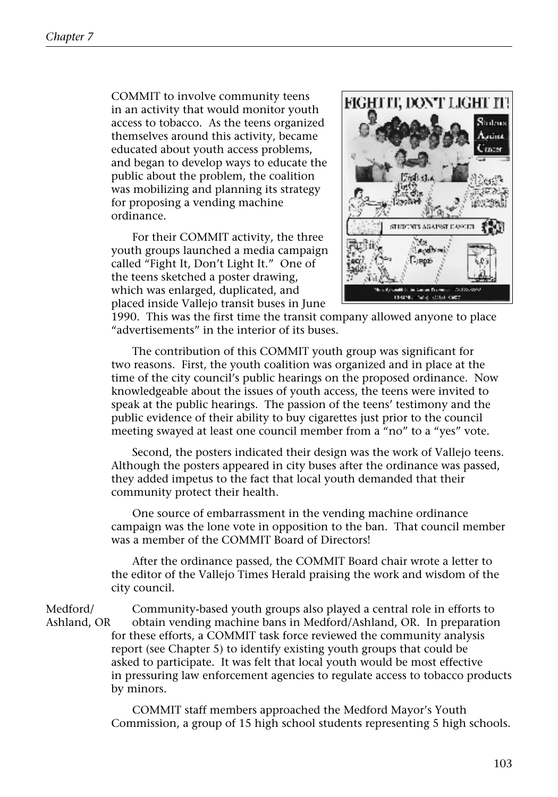COMMIT to involve community teens in an activity that would monitor youth access to tobacco. As the teens organized themselves around this activity, became educated about youth access problems, and began to develop ways to educate the public about the problem, the coalition was mobilizing and planning its strategy for proposing a vending machine ordinance.

For their COMMIT activity, the three youth groups launched a media campaign called "Fight It, Don't Light It." One of the teens sketched a poster drawing, which was enlarged, duplicated, and placed inside Vallejo transit buses in June



1990. This was the first time the transit company allowed anyone to place "advertisements" in the interior of its buses.

The contribution of this COMMIT youth group was significant for two reasons. First, the youth coalition was organized and in place at the time of the city council's public hearings on the proposed ordinance. Now knowledgeable about the issues of youth access, the teens were invited to speak at the public hearings. The passion of the teens' testimony and the public evidence of their ability to buy cigarettes just prior to the council meeting swayed at least one council member from a "no" to a "yes" vote.

Second, the posters indicated their design was the work of Vallejo teens. Although the posters appeared in city buses after the ordinance was passed, they added impetus to the fact that local youth demanded that their community protect their health.

One source of embarrassment in the vending machine ordinance campaign was the lone vote in opposition to the ban. That council member was a member of the COMMIT Board of Directors!

After the ordinance passed, the COMMIT Board chair wrote a letter to the editor of the Vallejo Times Herald praising the work and wisdom of the city council.

Medford/ Community-based youth groups also played a central role in efforts to Ashland, OR obtain vending machine bans in Medford/Ashland, OR. In preparation for these efforts, a COMMIT task force reviewed the community analysis report (see Chapter 5) to identify existing youth groups that could be asked to participate. It was felt that local youth would be most effective in pressuring law enforcement agencies to regulate access to tobacco products by minors.

> COMMIT staff members approached the Medford Mayor's Youth Commission, a group of 15 high school students representing 5 high schools.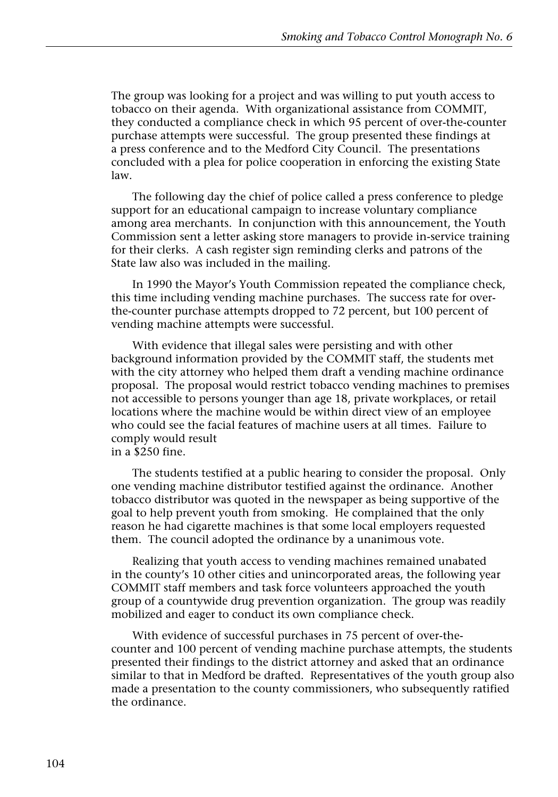The group was looking for a project and was willing to put youth access to tobacco on their agenda. With organizational assistance from COMMIT, they conducted a compliance check in which 95 percent of over-the-counter purchase attempts were successful. The group presented these findings at a press conference and to the Medford City Council. The presentations concluded with a plea for police cooperation in enforcing the existing State law.

The following day the chief of police called a press conference to pledge support for an educational campaign to increase voluntary compliance among area merchants. In conjunction with this announcement, the Youth Commission sent a letter asking store managers to provide in-service training for their clerks. A cash register sign reminding clerks and patrons of the State law also was included in the mailing.

In 1990 the Mayor's Youth Commission repeated the compliance check, this time including vending machine purchases. The success rate for overthe-counter purchase attempts dropped to 72 percent, but 100 percent of vending machine attempts were successful.

With evidence that illegal sales were persisting and with other background information provided by the COMMIT staff, the students met with the city attorney who helped them draft a vending machine ordinance proposal. The proposal would restrict tobacco vending machines to premises not accessible to persons younger than age 18, private workplaces, or retail locations where the machine would be within direct view of an employee who could see the facial features of machine users at all times. Failure to comply would result in a \$250 fine.

The students testified at a public hearing to consider the proposal. Only one vending machine distributor testified against the ordinance. Another tobacco distributor was quoted in the newspaper as being supportive of the goal to help prevent youth from smoking. He complained that the only reason he had cigarette machines is that some local employers requested them. The council adopted the ordinance by a unanimous vote.

Realizing that youth access to vending machines remained unabated in the county's 10 other cities and unincorporated areas, the following year COMMIT staff members and task force volunteers approached the youth group of a countywide drug prevention organization. The group was readily mobilized and eager to conduct its own compliance check.

With evidence of successful purchases in 75 percent of over-thecounter and 100 percent of vending machine purchase attempts, the students presented their findings to the district attorney and asked that an ordinance similar to that in Medford be drafted. Representatives of the youth group also made a presentation to the county commissioners, who subsequently ratified the ordinance.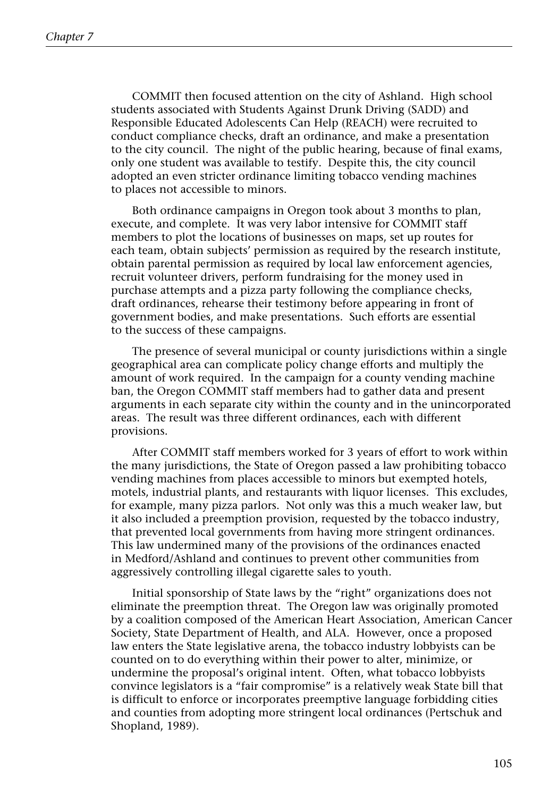COMMIT then focused attention on the city of Ashland. High school students associated with Students Against Drunk Driving (SADD) and Responsible Educated Adolescents Can Help (REACH) were recruited to conduct compliance checks, draft an ordinance, and make a presentation to the city council. The night of the public hearing, because of final exams, only one student was available to testify. Despite this, the city council adopted an even stricter ordinance limiting tobacco vending machines to places not accessible to minors.

Both ordinance campaigns in Oregon took about 3 months to plan, execute, and complete. It was very labor intensive for COMMIT staff members to plot the locations of businesses on maps, set up routes for each team, obtain subjects' permission as required by the research institute, obtain parental permission as required by local law enforcement agencies, recruit volunteer drivers, perform fundraising for the money used in purchase attempts and a pizza party following the compliance checks, draft ordinances, rehearse their testimony before appearing in front of government bodies, and make presentations. Such efforts are essential to the success of these campaigns.

The presence of several municipal or county jurisdictions within a single geographical area can complicate policy change efforts and multiply the amount of work required. In the campaign for a county vending machine ban, the Oregon COMMIT staff members had to gather data and present arguments in each separate city within the county and in the unincorporated areas. The result was three different ordinances, each with different provisions.

After COMMIT staff members worked for 3 years of effort to work within the many jurisdictions, the State of Oregon passed a law prohibiting tobacco vending machines from places accessible to minors but exempted hotels, motels, industrial plants, and restaurants with liquor licenses. This excludes, for example, many pizza parlors. Not only was this a much weaker law, but it also included a preemption provision, requested by the tobacco industry, that prevented local governments from having more stringent ordinances. This law undermined many of the provisions of the ordinances enacted in Medford/Ashland and continues to prevent other communities from aggressively controlling illegal cigarette sales to youth.

Initial sponsorship of State laws by the "right" organizations does not eliminate the preemption threat. The Oregon law was originally promoted by a coalition composed of the American Heart Association, American Cancer Society, State Department of Health, and ALA. However, once a proposed law enters the State legislative arena, the tobacco industry lobbyists can be counted on to do everything within their power to alter, minimize, or undermine the proposal's original intent. Often, what tobacco lobbyists convince legislators is a "fair compromise" is a relatively weak State bill that is difficult to enforce or incorporates preemptive language forbidding cities and counties from adopting more stringent local ordinances (Pertschuk and Shopland, 1989).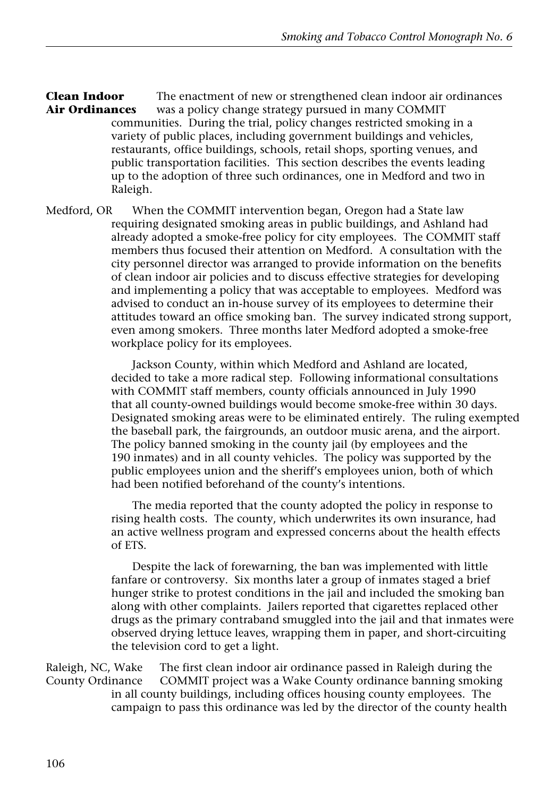**Clean Indoor** The enactment of new or strengthened clean indoor air ordinances **Air Ordinances** was a policy change strategy pursued in many COMMIT communities. During the trial, policy changes restricted smoking in a variety of public places, including government buildings and vehicles, restaurants, office buildings, schools, retail shops, sporting venues, and public transportation facilities. This section describes the events leading up to the adoption of three such ordinances, one in Medford and two in Raleigh.

Medford, OR When the COMMIT intervention began, Oregon had a State law requiring designated smoking areas in public buildings, and Ashland had already adopted a smoke-free policy for city employees. The COMMIT staff members thus focused their attention on Medford. A consultation with the city personnel director was arranged to provide information on the benefits of clean indoor air policies and to discuss effective strategies for developing and implementing a policy that was acceptable to employees. Medford was advised to conduct an in-house survey of its employees to determine their attitudes toward an office smoking ban. The survey indicated strong support, even among smokers. Three months later Medford adopted a smoke-free workplace policy for its employees.

> Jackson County, within which Medford and Ashland are located, decided to take a more radical step. Following informational consultations with COMMIT staff members, county officials announced in July 1990 that all county-owned buildings would become smoke-free within 30 days. Designated smoking areas were to be eliminated entirely. The ruling exempted the baseball park, the fairgrounds, an outdoor music arena, and the airport. The policy banned smoking in the county jail (by employees and the 190 inmates) and in all county vehicles. The policy was supported by the public employees union and the sheriff's employees union, both of which had been notified beforehand of the county's intentions.

The media reported that the county adopted the policy in response to rising health costs. The county, which underwrites its own insurance, had an active wellness program and expressed concerns about the health effects of ETS.

Despite the lack of forewarning, the ban was implemented with little fanfare or controversy. Six months later a group of inmates staged a brief hunger strike to protest conditions in the jail and included the smoking ban along with other complaints. Jailers reported that cigarettes replaced other drugs as the primary contraband smuggled into the jail and that inmates were observed drying lettuce leaves, wrapping them in paper, and short-circuiting the television cord to get a light.

Raleigh, NC, Wake The first clean indoor air ordinance passed in Raleigh during the County Ordinance COMMIT project was a Wake County ordinance banning smoking in all county buildings, including offices housing county employees. The campaign to pass this ordinance was led by the director of the county health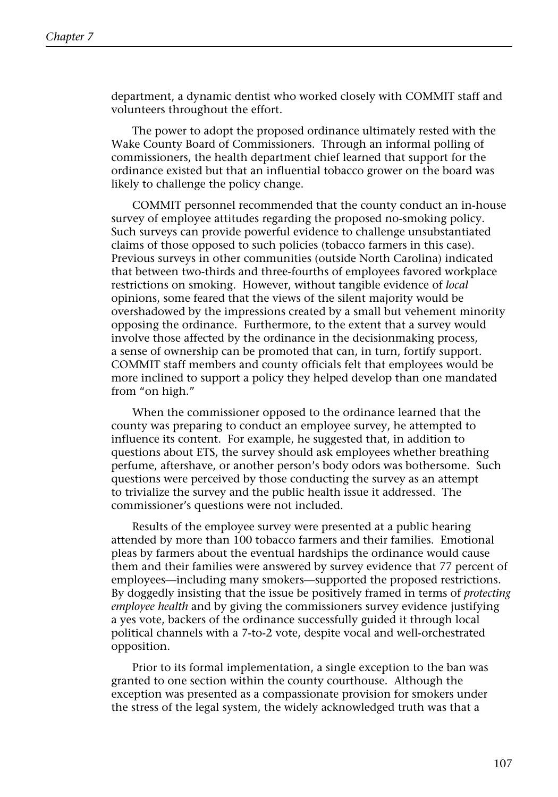department, a dynamic dentist who worked closely with COMMIT staff and volunteers throughout the effort.

The power to adopt the proposed ordinance ultimately rested with the Wake County Board of Commissioners. Through an informal polling of commissioners, the health department chief learned that support for the ordinance existed but that an influential tobacco grower on the board was likely to challenge the policy change.

COMMIT personnel recommended that the county conduct an in-house survey of employee attitudes regarding the proposed no-smoking policy. Such surveys can provide powerful evidence to challenge unsubstantiated claims of those opposed to such policies (tobacco farmers in this case). Previous surveys in other communities (outside North Carolina) indicated that between two-thirds and three-fourths of employees favored workplace restrictions on smoking. However, without tangible evidence of *local* opinions, some feared that the views of the silent majority would be overshadowed by the impressions created by a small but vehement minority opposing the ordinance. Furthermore, to the extent that a survey would involve those affected by the ordinance in the decisionmaking process, a sense of ownership can be promoted that can, in turn, fortify support. COMMIT staff members and county officials felt that employees would be more inclined to support a policy they helped develop than one mandated from "on high."

When the commissioner opposed to the ordinance learned that the county was preparing to conduct an employee survey, he attempted to influence its content. For example, he suggested that, in addition to questions about ETS, the survey should ask employees whether breathing perfume, aftershave, or another person's body odors was bothersome. Such questions were perceived by those conducting the survey as an attempt to trivialize the survey and the public health issue it addressed. The commissioner's questions were not included.

Results of the employee survey were presented at a public hearing attended by more than 100 tobacco farmers and their families. Emotional pleas by farmers about the eventual hardships the ordinance would cause them and their families were answered by survey evidence that 77 percent of employees—including many smokers—supported the proposed restrictions. By doggedly insisting that the issue be positively framed in terms of *protecting employee health* and by giving the commissioners survey evidence justifying a yes vote, backers of the ordinance successfully guided it through local political channels with a 7-to-2 vote, despite vocal and well-orchestrated opposition.

Prior to its formal implementation, a single exception to the ban was granted to one section within the county courthouse. Although the exception was presented as a compassionate provision for smokers under the stress of the legal system, the widely acknowledged truth was that a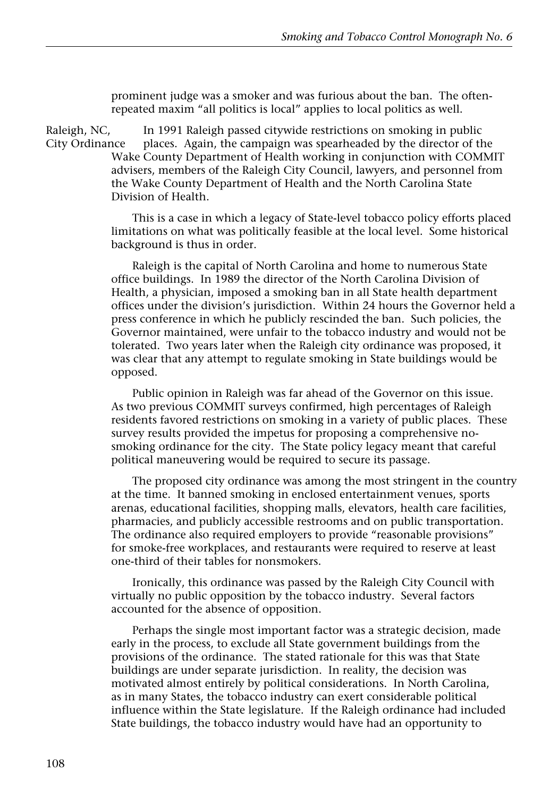prominent judge was a smoker and was furious about the ban. The oftenrepeated maxim "all politics is local" applies to local politics as well.

Raleigh, NC, In 1991 Raleigh passed citywide restrictions on smoking in public City Ordinance places. Again, the campaign was spearheaded by the director of the Wake County Department of Health working in conjunction with COMMIT advisers, members of the Raleigh City Council, lawyers, and personnel from the Wake County Department of Health and the North Carolina State Division of Health.

> This is a case in which a legacy of State-level tobacco policy efforts placed limitations on what was politically feasible at the local level. Some historical background is thus in order.

Raleigh is the capital of North Carolina and home to numerous State office buildings. In 1989 the director of the North Carolina Division of Health, a physician, imposed a smoking ban in all State health department offices under the division's jurisdiction. Within 24 hours the Governor held a press conference in which he publicly rescinded the ban. Such policies, the Governor maintained, were unfair to the tobacco industry and would not be tolerated. Two years later when the Raleigh city ordinance was proposed, it was clear that any attempt to regulate smoking in State buildings would be opposed.

Public opinion in Raleigh was far ahead of the Governor on this issue. As two previous COMMIT surveys confirmed, high percentages of Raleigh residents favored restrictions on smoking in a variety of public places. These survey results provided the impetus for proposing a comprehensive nosmoking ordinance for the city. The State policy legacy meant that careful political maneuvering would be required to secure its passage.

The proposed city ordinance was among the most stringent in the country at the time. It banned smoking in enclosed entertainment venues, sports arenas, educational facilities, shopping malls, elevators, health care facilities, pharmacies, and publicly accessible restrooms and on public transportation. The ordinance also required employers to provide "reasonable provisions" for smoke-free workplaces, and restaurants were required to reserve at least one-third of their tables for nonsmokers.

Ironically, this ordinance was passed by the Raleigh City Council with virtually no public opposition by the tobacco industry. Several factors accounted for the absence of opposition.

Perhaps the single most important factor was a strategic decision, made early in the process, to exclude all State government buildings from the provisions of the ordinance. The stated rationale for this was that State buildings are under separate jurisdiction. In reality, the decision was motivated almost entirely by political considerations. In North Carolina, as in many States, the tobacco industry can exert considerable political influence within the State legislature. If the Raleigh ordinance had included State buildings, the tobacco industry would have had an opportunity to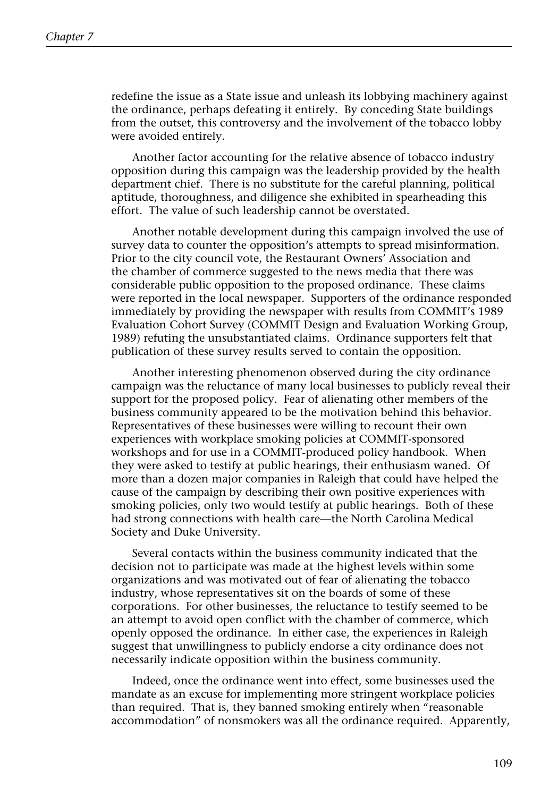redefine the issue as a State issue and unleash its lobbying machinery against the ordinance, perhaps defeating it entirely. By conceding State buildings from the outset, this controversy and the involvement of the tobacco lobby were avoided entirely.

Another factor accounting for the relative absence of tobacco industry opposition during this campaign was the leadership provided by the health department chief. There is no substitute for the careful planning, political aptitude, thoroughness, and diligence she exhibited in spearheading this effort. The value of such leadership cannot be overstated.

Another notable development during this campaign involved the use of survey data to counter the opposition's attempts to spread misinformation. Prior to the city council vote, the Restaurant Owners' Association and the chamber of commerce suggested to the news media that there was considerable public opposition to the proposed ordinance. These claims were reported in the local newspaper. Supporters of the ordinance responded immediately by providing the newspaper with results from COMMIT's 1989 Evaluation Cohort Survey (COMMIT Design and Evaluation Working Group, 1989) refuting the unsubstantiated claims. Ordinance supporters felt that publication of these survey results served to contain the opposition.

Another interesting phenomenon observed during the city ordinance campaign was the reluctance of many local businesses to publicly reveal their support for the proposed policy. Fear of alienating other members of the business community appeared to be the motivation behind this behavior. Representatives of these businesses were willing to recount their own experiences with workplace smoking policies at COMMIT-sponsored workshops and for use in a COMMIT-produced policy handbook. When they were asked to testify at public hearings, their enthusiasm waned. Of more than a dozen major companies in Raleigh that could have helped the cause of the campaign by describing their own positive experiences with smoking policies, only two would testify at public hearings. Both of these had strong connections with health care—the North Carolina Medical Society and Duke University.

Several contacts within the business community indicated that the decision not to participate was made at the highest levels within some organizations and was motivated out of fear of alienating the tobacco industry, whose representatives sit on the boards of some of these corporations. For other businesses, the reluctance to testify seemed to be an attempt to avoid open conflict with the chamber of commerce, which openly opposed the ordinance. In either case, the experiences in Raleigh suggest that unwillingness to publicly endorse a city ordinance does not necessarily indicate opposition within the business community.

Indeed, once the ordinance went into effect, some businesses used the mandate as an excuse for implementing more stringent workplace policies than required. That is, they banned smoking entirely when "reasonable accommodation" of nonsmokers was all the ordinance required. Apparently,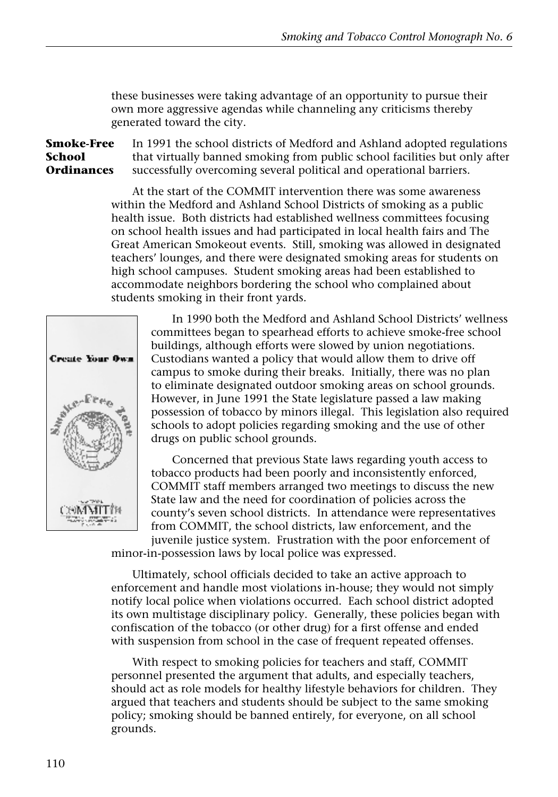these businesses were taking advantage of an opportunity to pursue their own more aggressive agendas while channeling any criticisms thereby generated toward the city.

**Smoke-Free** In 1991 the school districts of Medford and Ashland adopted regulations **School** that virtually banned smoking from public school facilities but only after **Ordinances** successfully overcoming several political and operational barriers.

> At the start of the COMMIT intervention there was some awareness within the Medford and Ashland School Districts of smoking as a public health issue. Both districts had established wellness committees focusing on school health issues and had participated in local health fairs and The Great American Smokeout events. Still, smoking was allowed in designated teachers' lounges, and there were designated smoking areas for students on high school campuses. Student smoking areas had been established to accommodate neighbors bordering the school who complained about students smoking in their front yards.



In 1990 both the Medford and Ashland School Districts' wellness committees began to spearhead efforts to achieve smoke-free school buildings, although efforts were slowed by union negotiations. Custodians wanted a policy that would allow them to drive off campus to smoke during their breaks. Initially, there was no plan to eliminate designated outdoor smoking areas on school grounds. However, in June 1991 the State legislature passed a law making possession of tobacco by minors illegal. This legislation also required schools to adopt policies regarding smoking and the use of other drugs on public school grounds.

Concerned that previous State laws regarding youth access to tobacco products had been poorly and inconsistently enforced, COMMIT staff members arranged two meetings to discuss the new State law and the need for coordination of policies across the county's seven school districts. In attendance were representatives from COMMIT, the school districts, law enforcement, and the juvenile justice system. Frustration with the poor enforcement of

minor-in-possession laws by local police was expressed.

Ultimately, school officials decided to take an active approach to enforcement and handle most violations in-house; they would not simply notify local police when violations occurred. Each school district adopted its own multistage disciplinary policy. Generally, these policies began with confiscation of the tobacco (or other drug) for a first offense and ended with suspension from school in the case of frequent repeated offenses.

With respect to smoking policies for teachers and staff, COMMIT personnel presented the argument that adults, and especially teachers, should act as role models for healthy lifestyle behaviors for children. They argued that teachers and students should be subject to the same smoking policy; smoking should be banned entirely, for everyone, on all school grounds.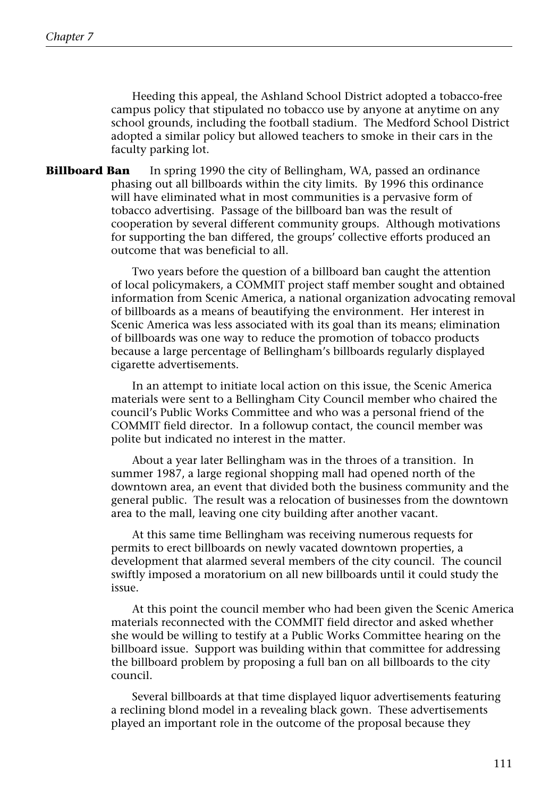Heeding this appeal, the Ashland School District adopted a tobacco-free campus policy that stipulated no tobacco use by anyone at anytime on any school grounds, including the football stadium. The Medford School District adopted a similar policy but allowed teachers to smoke in their cars in the faculty parking lot.

**Billboard Ban** In spring 1990 the city of Bellingham, WA, passed an ordinance phasing out all billboards within the city limits. By 1996 this ordinance will have eliminated what in most communities is a pervasive form of tobacco advertising. Passage of the billboard ban was the result of cooperation by several different community groups. Although motivations for supporting the ban differed, the groups' collective efforts produced an outcome that was beneficial to all.

> Two years before the question of a billboard ban caught the attention of local policymakers, a COMMIT project staff member sought and obtained information from Scenic America, a national organization advocating removal of billboards as a means of beautifying the environment. Her interest in Scenic America was less associated with its goal than its means; elimination of billboards was one way to reduce the promotion of tobacco products because a large percentage of Bellingham's billboards regularly displayed cigarette advertisements.

In an attempt to initiate local action on this issue, the Scenic America materials were sent to a Bellingham City Council member who chaired the council's Public Works Committee and who was a personal friend of the COMMIT field director. In a followup contact, the council member was polite but indicated no interest in the matter.

About a year later Bellingham was in the throes of a transition. In summer 1987, a large regional shopping mall had opened north of the downtown area, an event that divided both the business community and the general public. The result was a relocation of businesses from the downtown area to the mall, leaving one city building after another vacant.

At this same time Bellingham was receiving numerous requests for permits to erect billboards on newly vacated downtown properties, a development that alarmed several members of the city council. The council swiftly imposed a moratorium on all new billboards until it could study the issue.

At this point the council member who had been given the Scenic America materials reconnected with the COMMIT field director and asked whether she would be willing to testify at a Public Works Committee hearing on the billboard issue. Support was building within that committee for addressing the billboard problem by proposing a full ban on all billboards to the city council.

Several billboards at that time displayed liquor advertisements featuring a reclining blond model in a revealing black gown. These advertisements played an important role in the outcome of the proposal because they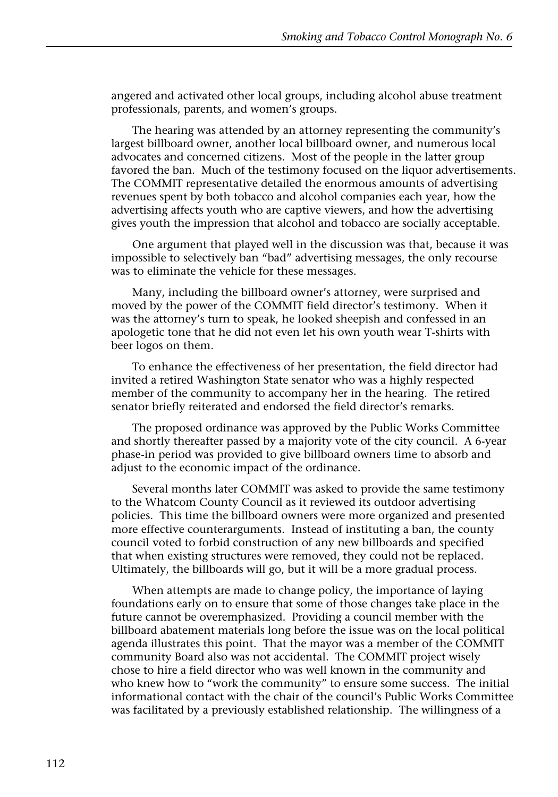angered and activated other local groups, including alcohol abuse treatment professionals, parents, and women's groups.

The hearing was attended by an attorney representing the community's largest billboard owner, another local billboard owner, and numerous local advocates and concerned citizens. Most of the people in the latter group favored the ban. Much of the testimony focused on the liquor advertisements. The COMMIT representative detailed the enormous amounts of advertising revenues spent by both tobacco and alcohol companies each year, how the advertising affects youth who are captive viewers, and how the advertising gives youth the impression that alcohol and tobacco are socially acceptable.

One argument that played well in the discussion was that, because it was impossible to selectively ban "bad" advertising messages, the only recourse was to eliminate the vehicle for these messages.

Many, including the billboard owner's attorney, were surprised and moved by the power of the COMMIT field director's testimony. When it was the attorney's turn to speak, he looked sheepish and confessed in an apologetic tone that he did not even let his own youth wear T-shirts with beer logos on them.

To enhance the effectiveness of her presentation, the field director had invited a retired Washington State senator who was a highly respected member of the community to accompany her in the hearing. The retired senator briefly reiterated and endorsed the field director's remarks.

The proposed ordinance was approved by the Public Works Committee and shortly thereafter passed by a majority vote of the city council. A 6-year phase-in period was provided to give billboard owners time to absorb and adjust to the economic impact of the ordinance.

Several months later COMMIT was asked to provide the same testimony to the Whatcom County Council as it reviewed its outdoor advertising policies. This time the billboard owners were more organized and presented more effective counterarguments. Instead of instituting a ban, the county council voted to forbid construction of any new billboards and specified that when existing structures were removed, they could not be replaced. Ultimately, the billboards will go, but it will be a more gradual process.

When attempts are made to change policy, the importance of laying foundations early on to ensure that some of those changes take place in the future cannot be overemphasized. Providing a council member with the billboard abatement materials long before the issue was on the local political agenda illustrates this point. That the mayor was a member of the COMMIT community Board also was not accidental. The COMMIT project wisely chose to hire a field director who was well known in the community and who knew how to "work the community" to ensure some success. The initial informational contact with the chair of the council's Public Works Committee was facilitated by a previously established relationship. The willingness of a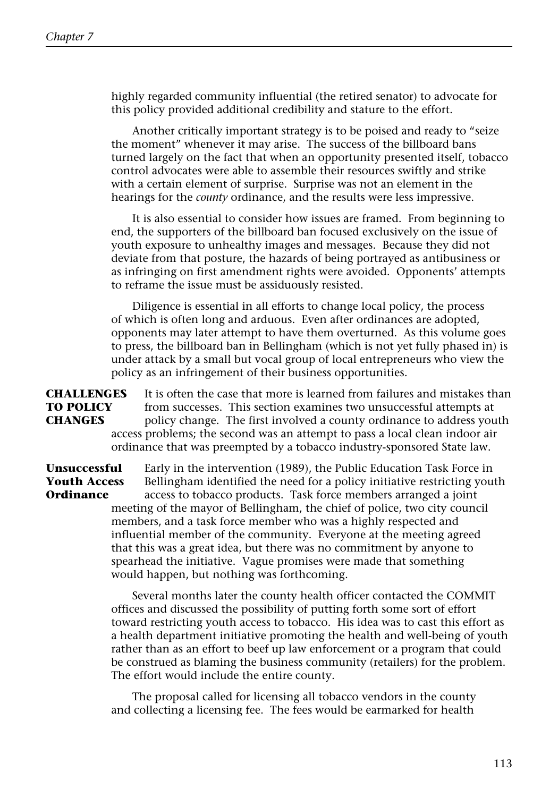highly regarded community influential (the retired senator) to advocate for this policy provided additional credibility and stature to the effort.

Another critically important strategy is to be poised and ready to "seize the moment" whenever it may arise. The success of the billboard bans turned largely on the fact that when an opportunity presented itself, tobacco control advocates were able to assemble their resources swiftly and strike with a certain element of surprise. Surprise was not an element in the hearings for the *county* ordinance, and the results were less impressive.

It is also essential to consider how issues are framed. From beginning to end, the supporters of the billboard ban focused exclusively on the issue of youth exposure to unhealthy images and messages. Because they did not deviate from that posture, the hazards of being portrayed as antibusiness or as infringing on first amendment rights were avoided. Opponents' attempts to reframe the issue must be assiduously resisted.

Diligence is essential in all efforts to change local policy, the process of which is often long and arduous. Even after ordinances are adopted, opponents may later attempt to have them overturned. As this volume goes to press, the billboard ban in Bellingham (which is not yet fully phased in) is under attack by a small but vocal group of local entrepreneurs who view the policy as an infringement of their business opportunities.

**CHALLENGES** It is often the case that more is learned from failures and mistakes than **TO POLICY** from successes. This section examines two unsuccessful attempts at **CHANGES** policy change. The first involved a county ordinance to address youth access problems; the second was an attempt to pass a local clean indoor air ordinance that was preempted by a tobacco industry-sponsored State law.

**Unsuccessful** Early in the intervention (1989), the Public Education Task Force in **Youth Access** Bellingham identified the need for a policy initiative restricting youth **Ordinance** access to tobacco products. Task force members arranged a joint meeting of the mayor of Bellingham, the chief of police, two city council members, and a task force member who was a highly respected and influential member of the community. Everyone at the meeting agreed that this was a great idea, but there was no commitment by anyone to spearhead the initiative. Vague promises were made that something would happen, but nothing was forthcoming.

> Several months later the county health officer contacted the COMMIT offices and discussed the possibility of putting forth some sort of effort toward restricting youth access to tobacco. His idea was to cast this effort as a health department initiative promoting the health and well-being of youth rather than as an effort to beef up law enforcement or a program that could be construed as blaming the business community (retailers) for the problem. The effort would include the entire county.

The proposal called for licensing all tobacco vendors in the county and collecting a licensing fee. The fees would be earmarked for health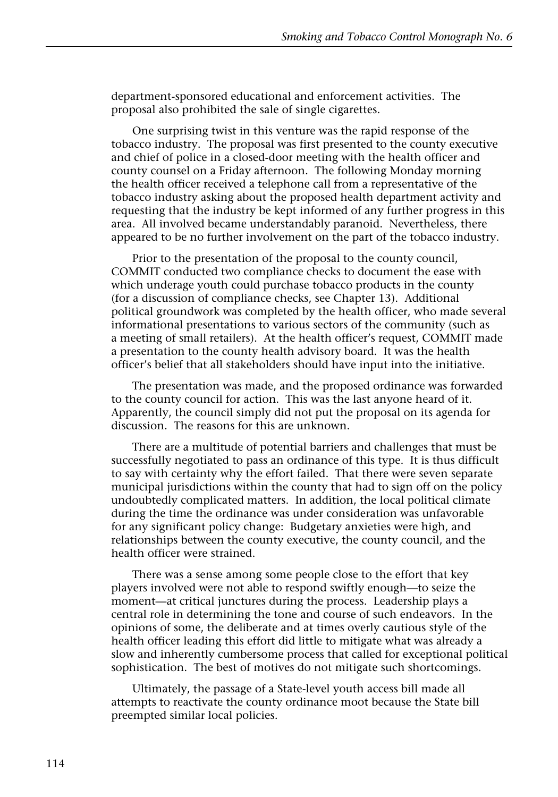department-sponsored educational and enforcement activities. The proposal also prohibited the sale of single cigarettes.

One surprising twist in this venture was the rapid response of the tobacco industry. The proposal was first presented to the county executive and chief of police in a closed-door meeting with the health officer and county counsel on a Friday afternoon. The following Monday morning the health officer received a telephone call from a representative of the tobacco industry asking about the proposed health department activity and requesting that the industry be kept informed of any further progress in this area. All involved became understandably paranoid. Nevertheless, there appeared to be no further involvement on the part of the tobacco industry.

Prior to the presentation of the proposal to the county council, COMMIT conducted two compliance checks to document the ease with which underage youth could purchase tobacco products in the county (for a discussion of compliance checks, see Chapter 13). Additional political groundwork was completed by the health officer, who made several informational presentations to various sectors of the community (such as a meeting of small retailers). At the health officer's request, COMMIT made a presentation to the county health advisory board. It was the health officer's belief that all stakeholders should have input into the initiative.

The presentation was made, and the proposed ordinance was forwarded to the county council for action. This was the last anyone heard of it. Apparently, the council simply did not put the proposal on its agenda for discussion. The reasons for this are unknown.

There are a multitude of potential barriers and challenges that must be successfully negotiated to pass an ordinance of this type. It is thus difficult to say with certainty why the effort failed. That there were seven separate municipal jurisdictions within the county that had to sign off on the policy undoubtedly complicated matters. In addition, the local political climate during the time the ordinance was under consideration was unfavorable for any significant policy change: Budgetary anxieties were high, and relationships between the county executive, the county council, and the health officer were strained.

There was a sense among some people close to the effort that key players involved were not able to respond swiftly enough—to seize the moment—at critical junctures during the process. Leadership plays a central role in determining the tone and course of such endeavors. In the opinions of some, the deliberate and at times overly cautious style of the health officer leading this effort did little to mitigate what was already a slow and inherently cumbersome process that called for exceptional political sophistication. The best of motives do not mitigate such shortcomings.

Ultimately, the passage of a State-level youth access bill made all attempts to reactivate the county ordinance moot because the State bill preempted similar local policies.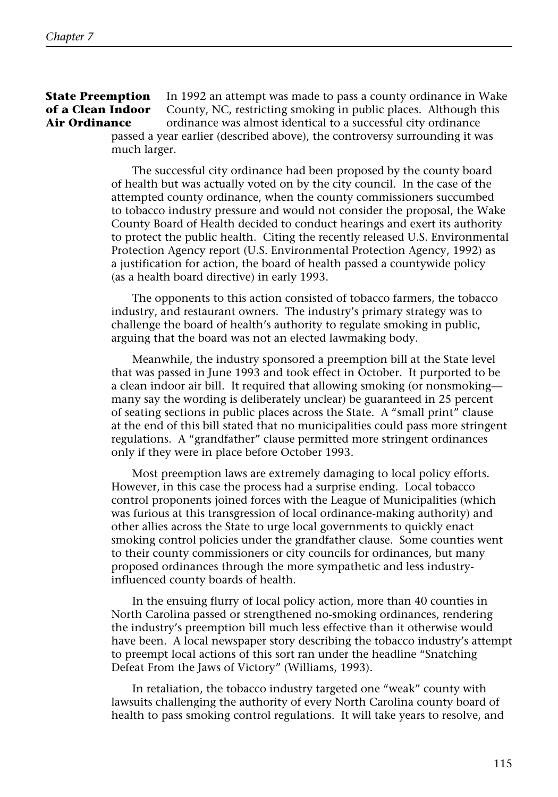## **State Preemption** In 1992 an attempt was made to pass a county ordinance in Wake **of a Clean Indoor** County, NC, restricting smoking in public places. Although this

**Air Ordinance** ordinance was almost identical to a successful city ordinance passed a year earlier (described above), the controversy surrounding it was much larger.

> The successful city ordinance had been proposed by the county board of health but was actually voted on by the city council. In the case of the attempted county ordinance, when the county commissioners succumbed to tobacco industry pressure and would not consider the proposal, the Wake County Board of Health decided to conduct hearings and exert its authority to protect the public health. Citing the recently released U.S. Environmental Protection Agency report (U.S. Environmental Protection Agency, 1992) as a justification for action, the board of health passed a countywide policy (as a health board directive) in early 1993.

The opponents to this action consisted of tobacco farmers, the tobacco industry, and restaurant owners. The industry's primary strategy was to challenge the board of health's authority to regulate smoking in public, arguing that the board was not an elected lawmaking body.

Meanwhile, the industry sponsored a preemption bill at the State level that was passed in June 1993 and took effect in October. It purported to be a clean indoor air bill. It required that allowing smoking (or nonsmoking many say the wording is deliberately unclear) be guaranteed in 25 percent of seating sections in public places across the State. A "small print" clause at the end of this bill stated that no municipalities could pass more stringent regulations. A "grandfather" clause permitted more stringent ordinances only if they were in place before October 1993.

Most preemption laws are extremely damaging to local policy efforts. However, in this case the process had a surprise ending. Local tobacco control proponents joined forces with the League of Municipalities (which was furious at this transgression of local ordinance-making authority) and other allies across the State to urge local governments to quickly enact smoking control policies under the grandfather clause. Some counties went to their county commissioners or city councils for ordinances, but many proposed ordinances through the more sympathetic and less industryinfluenced county boards of health.

In the ensuing flurry of local policy action, more than 40 counties in North Carolina passed or strengthened no-smoking ordinances, rendering the industry's preemption bill much less effective than it otherwise would have been. A local newspaper story describing the tobacco industry's attempt to preempt local actions of this sort ran under the headline "Snatching Defeat From the Jaws of Victory" (Williams, 1993).

In retaliation, the tobacco industry targeted one "weak" county with lawsuits challenging the authority of every North Carolina county board of health to pass smoking control regulations. It will take years to resolve, and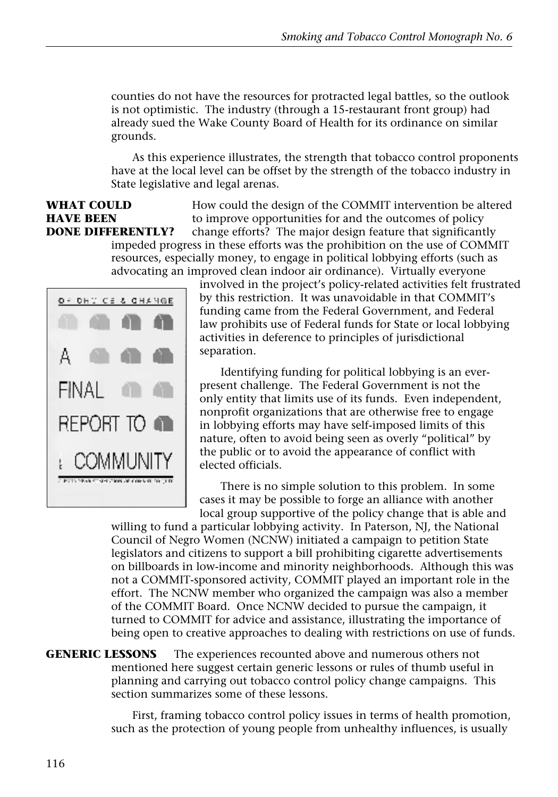counties do not have the resources for protracted legal battles, so the outlook is not optimistic. The industry (through a 15-restaurant front group) had already sued the Wake County Board of Health for its ordinance on similar grounds.

As this experience illustrates, the strength that tobacco control proponents have at the local level can be offset by the strength of the tobacco industry in State legislative and legal arenas.

### **WHAT COULD** How could the design of the COMMIT intervention be altered **HAVE BEEN** to improve opportunities for and the outcomes of policy **DONE DIFFERENTLY?** change efforts? The major design feature that significantly

impeded progress in these efforts was the prohibition on the use of COMMIT resources, especially money, to engage in political lobbying efforts (such as advocating an improved clean indoor air ordinance). Virtually everyone



involved in the project's policy-related activities felt frustrated by this restriction. It was unavoidable in that COMMIT's funding came from the Federal Government, and Federal law prohibits use of Federal funds for State or local lobbying activities in deference to principles of jurisdictional separation.

Identifying funding for political lobbying is an everpresent challenge. The Federal Government is not the only entity that limits use of its funds. Even independent, nonprofit organizations that are otherwise free to engage in lobbying efforts may have self-imposed limits of this nature, often to avoid being seen as overly "political" by the public or to avoid the appearance of conflict with elected officials.

There is no simple solution to this problem. In some cases it may be possible to forge an alliance with another local group supportive of the policy change that is able and

willing to fund a particular lobbying activity. In Paterson, NJ, the National Council of Negro Women (NCNW) initiated a campaign to petition State legislators and citizens to support a bill prohibiting cigarette advertisements on billboards in low-income and minority neighborhoods. Although this was not a COMMIT-sponsored activity, COMMIT played an important role in the effort. The NCNW member who organized the campaign was also a member of the COMMIT Board. Once NCNW decided to pursue the campaign, it turned to COMMIT for advice and assistance, illustrating the importance of being open to creative approaches to dealing with restrictions on use of funds.

#### **GENERIC LESSONS** The experiences recounted above and numerous others not mentioned here suggest certain generic lessons or rules of thumb useful in planning and carrying out tobacco control policy change campaigns. This section summarizes some of these lessons.

First, framing tobacco control policy issues in terms of health promotion, such as the protection of young people from unhealthy influences, is usually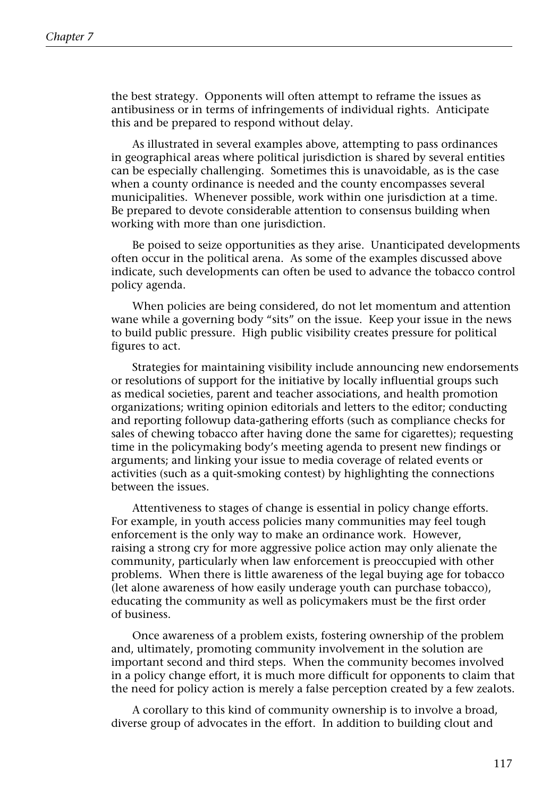the best strategy. Opponents will often attempt to reframe the issues as antibusiness or in terms of infringements of individual rights. Anticipate this and be prepared to respond without delay.

As illustrated in several examples above, attempting to pass ordinances in geographical areas where political jurisdiction is shared by several entities can be especially challenging. Sometimes this is unavoidable, as is the case when a county ordinance is needed and the county encompasses several municipalities. Whenever possible, work within one jurisdiction at a time. Be prepared to devote considerable attention to consensus building when working with more than one jurisdiction.

Be poised to seize opportunities as they arise. Unanticipated developments often occur in the political arena. As some of the examples discussed above indicate, such developments can often be used to advance the tobacco control policy agenda.

When policies are being considered, do not let momentum and attention wane while a governing body "sits" on the issue. Keep your issue in the news to build public pressure. High public visibility creates pressure for political figures to act.

Strategies for maintaining visibility include announcing new endorsements or resolutions of support for the initiative by locally influential groups such as medical societies, parent and teacher associations, and health promotion organizations; writing opinion editorials and letters to the editor; conducting and reporting followup data-gathering efforts (such as compliance checks for sales of chewing tobacco after having done the same for cigarettes); requesting time in the policymaking body's meeting agenda to present new findings or arguments; and linking your issue to media coverage of related events or activities (such as a quit-smoking contest) by highlighting the connections between the issues.

Attentiveness to stages of change is essential in policy change efforts. For example, in youth access policies many communities may feel tough enforcement is the only way to make an ordinance work. However, raising a strong cry for more aggressive police action may only alienate the community, particularly when law enforcement is preoccupied with other problems. When there is little awareness of the legal buying age for tobacco (let alone awareness of how easily underage youth can purchase tobacco), educating the community as well as policymakers must be the first order of business.

Once awareness of a problem exists, fostering ownership of the problem and, ultimately, promoting community involvement in the solution are important second and third steps. When the community becomes involved in a policy change effort, it is much more difficult for opponents to claim that the need for policy action is merely a false perception created by a few zealots.

A corollary to this kind of community ownership is to involve a broad, diverse group of advocates in the effort. In addition to building clout and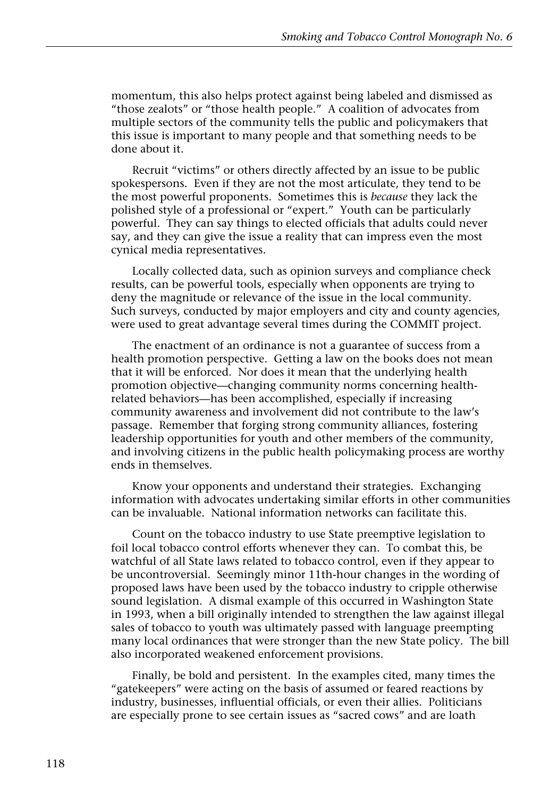momentum, this also helps protect against being labeled and dismissed as "those zealots" or "those health people." A coalition of advocates from multiple sectors of the community tells the public and policymakers that this issue is important to many people and that something needs to be done about it.

Recruit "victims" or others directly affected by an issue to be public spokespersons. Even if they are not the most articulate, they tend to be the most powerful proponents. Sometimes this is *because* they lack the polished style of a professional or "expert." Youth can be particularly powerful. They can say things to elected officials that adults could never say, and they can give the issue a reality that can impress even the most cynical media representatives.

Locally collected data, such as opinion surveys and compliance check results, can be powerful tools, especially when opponents are trying to deny the magnitude or relevance of the issue in the local community. Such surveys, conducted by major employers and city and county agencies, were used to great advantage several times during the COMMIT project.

The enactment of an ordinance is not a guarantee of success from a health promotion perspective. Getting a law on the books does not mean that it will be enforced. Nor does it mean that the underlying health promotion objective—changing community norms concerning healthrelated behaviors—has been accomplished, especially if increasing community awareness and involvement did not contribute to the law's passage. Remember that forging strong community alliances, fostering leadership opportunities for youth and other members of the community, and involving citizens in the public health policymaking process are worthy ends in themselves.

Know your opponents and understand their strategies. Exchanging information with advocates undertaking similar efforts in other communities can be invaluable. National information networks can facilitate this.

Count on the tobacco industry to use State preemptive legislation to foil local tobacco control efforts whenever they can. To combat this, be watchful of all State laws related to tobacco control, even if they appear to be uncontroversial. Seemingly minor 11th-hour changes in the wording of proposed laws have been used by the tobacco industry to cripple otherwise sound legislation. A dismal example of this occurred in Washington State in 1993, when a bill originally intended to strengthen the law against illegal sales of tobacco to youth was ultimately passed with language preempting many local ordinances that were stronger than the new State policy. The bill also incorporated weakened enforcement provisions.

Finally, be bold and persistent. In the examples cited, many times the "gatekeepers" were acting on the basis of assumed or feared reactions by industry, businesses, influential officials, or even their allies. Politicians are especially prone to see certain issues as "sacred cows" and are loath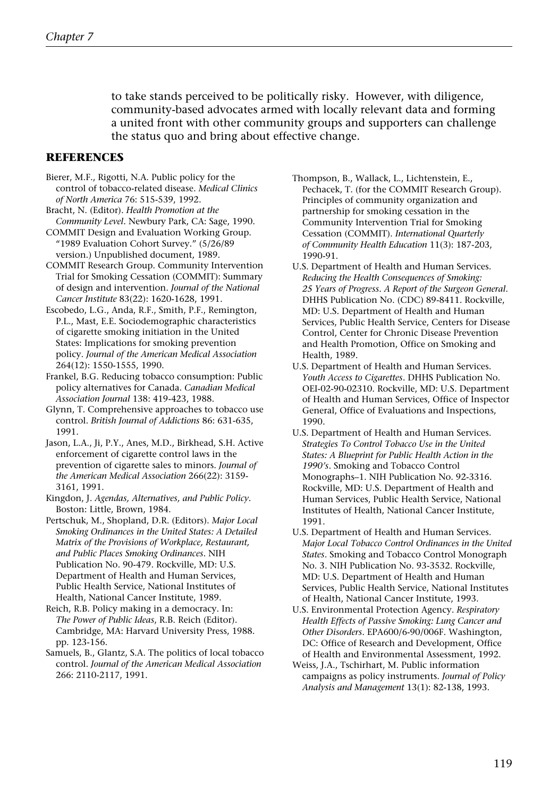to take stands perceived to be politically risky. However, with diligence, community-based advocates armed with locally relevant data and forming a united front with other community groups and supporters can challenge the status quo and bring about effective change.

#### **REFERENCES**

- Bierer, M.F., Rigotti, N.A. Public policy for the control of tobacco-related disease. *Medical Clinics of North America* 76: 515-539, 1992.
- Bracht, N. (Editor). *Health Promotion at the Community Level.* Newbury Park, CA: Sage, 1990.

COMMIT Design and Evaluation Working Group. "1989 Evaluation Cohort Survey." (5/26/89 version.) Unpublished document, 1989.

- COMMIT Research Group. Community Intervention Trial for Smoking Cessation (COMMIT): Summary of design and intervention. *Journal of the National Cancer Institute* 83(22): 1620-1628, 1991.
- Escobedo, L.G., Anda, R.F., Smith, P.F., Remington, P.L., Mast, E.E. Sociodemographic characteristics of cigarette smoking initiation in the United States: Implications for smoking prevention policy. *Journal of the American Medical Association* 264(12): 1550-1555, 1990.
- Frankel, B.G. Reducing tobacco consumption: Public policy alternatives for Canada. *Canadian Medical Association Journal* 138: 419-423, 1988.
- Glynn, T. Comprehensive approaches to tobacco use control. *British Journal of Addictions* 86: 631-635, 1991.
- Jason, L.A., Ji, P.Y., Anes, M.D., Birkhead, S.H. Active enforcement of cigarette control laws in the prevention of cigarette sales to minors. *Journal of the American Medical Association* 266(22): 3159- 3161, 1991.
- Kingdon, J. *Agendas, Alternatives, and Public Policy.* Boston: Little, Brown, 1984.
- Pertschuk, M., Shopland, D.R. (Editors). *Major Local Smoking Ordinances in the United States: A Detailed Matrix of the Provisions of Workplace, Restaurant, and Public Places Smoking Ordinances*. NIH Publication No. 90-479. Rockville, MD: U.S. Department of Health and Human Services, Public Health Service, National Institutes of Health, National Cancer Institute, 1989.
- Reich, R.B. Policy making in a democracy. In: *The Power of Public Ideas*, R.B. Reich (Editor). Cambridge, MA: Harvard University Press, 1988. pp. 123-156.
- Samuels, B., Glantz, S.A. The politics of local tobacco control. *Journal of the American Medical Association* 266: 2110-2117, 1991.
- Thompson, B., Wallack, L., Lichtenstein, E., Pechacek, T. (for the COMMIT Research Group). Principles of community organization and partnership for smoking cessation in the Community Intervention Trial for Smoking Cessation (COMMIT). *International Quarterly of Community Health Education* 11(3): 187-203, 1990-91.
- U.S. Department of Health and Human Services. *Reducing the Health Consequences of Smoking: 25 Years of Progress. A Report of the Surgeon General*. DHHS Publication No. (CDC) 89-8411. Rockville, MD: U.S. Department of Health and Human Services, Public Health Service, Centers for Disease Control, Center for Chronic Disease Prevention and Health Promotion, Office on Smoking and Health, 1989.
- U.S. Department of Health and Human Services. *Youth Access to Cigarettes*. DHHS Publication No. OEI-02-90-02310. Rockville, MD: U.S. Department of Health and Human Services, Office of Inspector General, Office of Evaluations and Inspections, 1990.
- U.S. Department of Health and Human Services. *Strategies To Control Tobacco Use in the United States: A Blueprint for Public Health Action in the 1990's*. Smoking and Tobacco Control Monographs–1. NIH Publication No. 92-3316. Rockville, MD: U.S. Department of Health and Human Services, Public Health Service, National Institutes of Health, National Cancer Institute, 1991.
- U.S. Department of Health and Human Services. *Major Local Tobacco Control Ordinances in the United States*. Smoking and Tobacco Control Monograph No. 3. NIH Publication No. 93-3532. Rockville, MD: U.S. Department of Health and Human Services, Public Health Service, National Institutes of Health, National Cancer Institute, 1993.
- U.S. Environmental Protection Agency. *Respiratory Health Effects of Passive Smoking: Lung Cancer and Other Disorders*. EPA600/6-90/006F. Washington, DC: Office of Research and Development, Office of Health and Environmental Assessment, 1992.
- Weiss, J.A., Tschirhart, M. Public information campaigns as policy instruments. *Journal of Policy Analysis and Management* 13(1): 82-138, 1993.